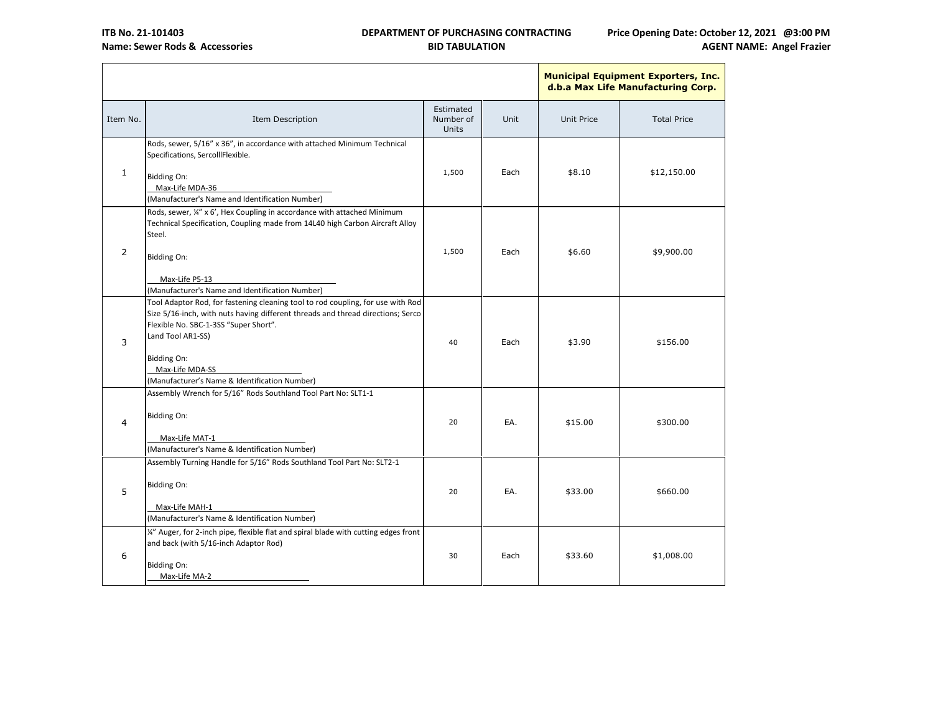

|          |                                                                                                                                                                                                                                                                                                                     |                                 |      |                   | <b>Municipal Equipment Exporters,</b><br>d.b.a Max Life Manufacturing Co |
|----------|---------------------------------------------------------------------------------------------------------------------------------------------------------------------------------------------------------------------------------------------------------------------------------------------------------------------|---------------------------------|------|-------------------|--------------------------------------------------------------------------|
| Item No. | Item Description                                                                                                                                                                                                                                                                                                    | Estimated<br>Number of<br>Units | Unit | <b>Unit Price</b> | <b>Total Price</b>                                                       |
| 1        | Rods, sewer, 5/16" x 36", in accordance with attached Minimum Technical<br>Specifications, SercollIFlexible.<br>Bidding On:<br>Max-Life MDA-36<br>(Manufacturer's Name and Identification Number)                                                                                                                   | 1,500                           | Each | \$8.10            | \$12,150.00                                                              |
| 2        | Rods, sewer, ¼" x 6', Hex Coupling in accordance with attached Minimum<br>Technical Specification, Coupling made from 14L40 high Carbon Aircraft Alloy<br>Steel.<br><b>Bidding On:</b><br>Max-Life P5-13<br>(Manufacturer's Name and Identification Number)                                                         | 1,500                           | Each | \$6.60            | \$9,900.00                                                               |
| 3        | Tool Adaptor Rod, for fastening cleaning tool to rod coupling, for use with Rod<br>Size 5/16-inch, with nuts having different threads and thread directions; Serco<br>Flexible No. SBC-1-3SS "Super Short".<br>Land Tool AR1-SS)<br>Bidding On:<br>Max-Life MDA-SS<br>(Manufacturer's Name & Identification Number) | 40                              | Each | \$3.90            | \$156.00                                                                 |
| 4        | Assembly Wrench for 5/16" Rods Southland Tool Part No: SLT1-1<br><b>Bidding On:</b><br>Max-Life MAT-1<br>(Manufacturer's Name & Identification Number)                                                                                                                                                              | 20                              | EA.  | \$15.00           | \$300.00                                                                 |
| 5        | Assembly Turning Handle for 5/16" Rods Southland Tool Part No: SLT2-1<br><b>Bidding On:</b><br>Max-Life MAH-1<br>(Manufacturer's Name & Identification Number)                                                                                                                                                      | 20                              | EA.  | \$33.00           | \$660.00                                                                 |
| 6        | 1/4" Auger, for 2-inch pipe, flexible flat and spiral blade with cutting edges front<br>and back (with 5/16-inch Adaptor Rod)<br>Bidding On:<br>Max-Life MA-2                                                                                                                                                       | 30                              | Each | \$33.60           | \$1,008.00                                                               |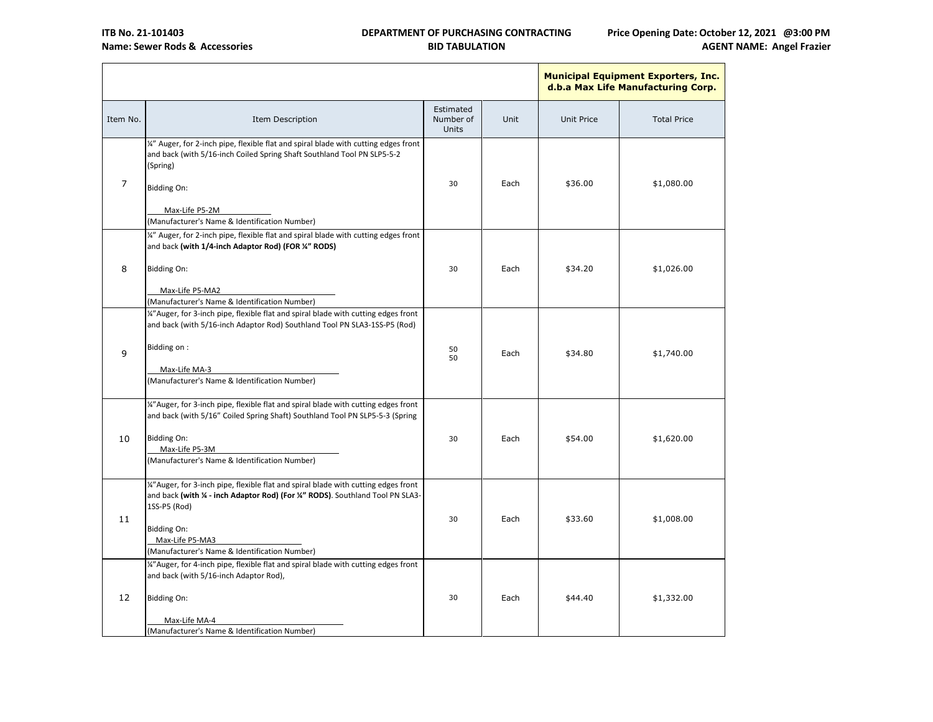

|          |                                                                                                                                                                                                                                                                                                      |                                 |      |                   | <b>Municipal Equipment Exporters,</b><br>d.b.a Max Life Manufacturing Co |
|----------|------------------------------------------------------------------------------------------------------------------------------------------------------------------------------------------------------------------------------------------------------------------------------------------------------|---------------------------------|------|-------------------|--------------------------------------------------------------------------|
| Item No. | <b>Item Description</b>                                                                                                                                                                                                                                                                              | Estimated<br>Number of<br>Units | Unit | <b>Unit Price</b> | <b>Total Price</b>                                                       |
| 7        | $\frac{1}{4}$ Auger, for 2-inch pipe, flexible flat and spiral blade with cutting edges front<br>and back (with 5/16-inch Coiled Spring Shaft Southland Tool PN SLP5-5-2<br>(Spring)<br>Bidding On:<br>Max-Life P5-2M<br>(Manufacturer's Name & Identification Number)                               | 30                              | Each | \$36.00           | \$1,080.00                                                               |
| 8        | 14" Auger, for 2-inch pipe, flexible flat and spiral blade with cutting edges front<br>and back (with 1/4-inch Adaptor Rod) (FOR 1/4" RODS)<br><b>Bidding On:</b><br>Max-Life P5-MA2<br>(Manufacturer's Name & Identification Number)                                                                | 30                              | Each | \$34.20           | \$1,026.00                                                               |
| 9        | 14" Auger, for 3-inch pipe, flexible flat and spiral blade with cutting edges front<br>and back (with 5/16-inch Adaptor Rod) Southland Tool PN SLA3-1SS-P5 (Rod)<br>Bidding on:<br>Max-Life MA-3<br>(Manufacturer's Name & Identification Number)                                                    | 50<br>50                        | Each | \$34.80           | \$1,740.00                                                               |
| 10       | 14" Auger, for 3-inch pipe, flexible flat and spiral blade with cutting edges front<br>and back (with 5/16" Coiled Spring Shaft) Southland Tool PN SLP5-5-3 (Spring<br><b>Bidding On:</b><br>Max-Life P5-3M<br>(Manufacturer's Name & Identification Number)                                         | 30                              | Each | \$54.00           | \$1,620.00                                                               |
| 11       | 1%"Auger, for 3-inch pipe, flexible flat and spiral blade with cutting edges front<br>and back (with <sup>1</sup> 4 - inch Adaptor Rod) (For <sup>14"</sup> RODS). Southland Tool PN SLA3-<br>1SS-P5 (Rod)<br><b>Bidding On:</b><br>Max-Life P5-MA3<br>(Manufacturer's Name & Identification Number) | 30                              | Each | \$33.60           | \$1,008.00                                                               |
| 12       | 14" Auger, for 4-inch pipe, flexible flat and spiral blade with cutting edges front<br>and back (with 5/16-inch Adaptor Rod),<br>Bidding On:<br>Max-Life MA-4<br>(Manufacturer's Name & Identification Number)                                                                                       | 30                              | Each | \$44.40           | \$1,332.00                                                               |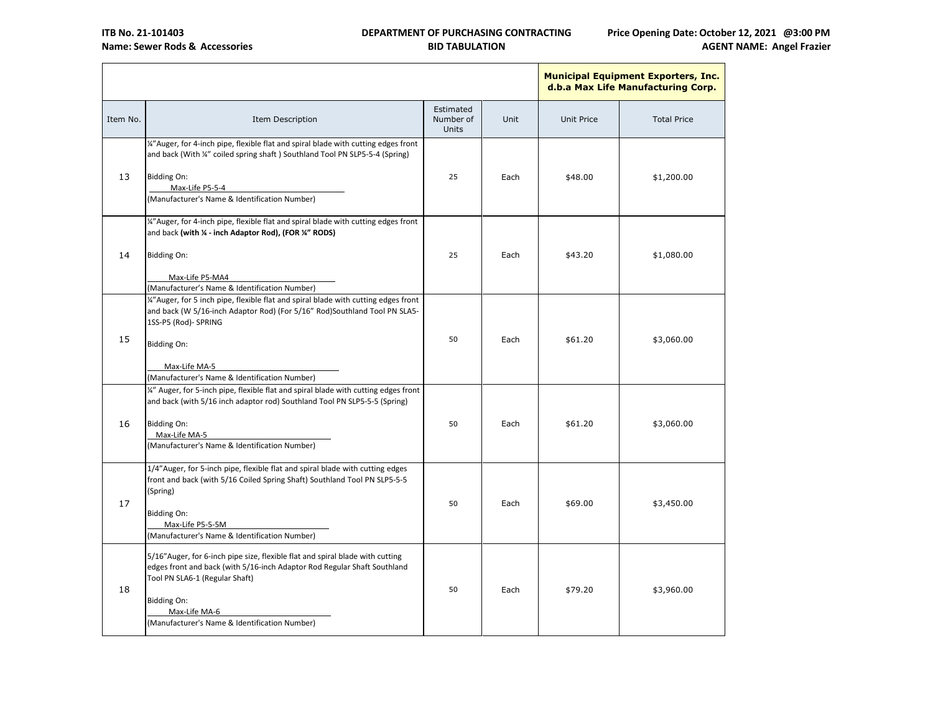

|                                                                                                                                                                                              |                                                                                                                                                                     |                      |                              | <b>Municipal Equipment Exporters,</b><br>d.b.a Max Life Manufacturing Co |
|----------------------------------------------------------------------------------------------------------------------------------------------------------------------------------------------|---------------------------------------------------------------------------------------------------------------------------------------------------------------------|----------------------|------------------------------|--------------------------------------------------------------------------|
| Item Description                                                                                                                                                                             | Estimated<br>Number of<br>Units                                                                                                                                     | Unit                 | <b>Unit Price</b>            | <b>Total Price</b>                                                       |
| 14" Auger, for 4-inch pipe, flexible flat and spiral blade with cutting edges front<br>and back (With ¼" coiled spring shaft) Southland Tool PN SLP5-5-4 (Spring)                            |                                                                                                                                                                     |                      |                              | \$1,200.00                                                               |
| Max-Life P5-5-4<br>(Manufacturer's Name & Identification Number)                                                                                                                             |                                                                                                                                                                     |                      |                              |                                                                          |
| 1%"Auger, for 4-inch pipe, flexible flat and spiral blade with cutting edges front<br>and back (with % - inch Adaptor Rod), (FOR %" RODS)                                                    |                                                                                                                                                                     |                      |                              |                                                                          |
| <b>Bidding On:</b>                                                                                                                                                                           | 25                                                                                                                                                                  | Each                 | \$43.20                      | \$1,080.00                                                               |
| (Manufacturer's Name & Identification Number)<br>14"Auger, for 5 inch pipe, flexible flat and spiral blade with cutting edges front                                                          |                                                                                                                                                                     |                      |                              |                                                                          |
| and back (W 5/16-inch Adaptor Rod) (For 5/16" Rod)Southland Tool PN SLA5-<br>1SS-P5 (Rod)- SPRING                                                                                            |                                                                                                                                                                     |                      |                              |                                                                          |
| Bidding On:                                                                                                                                                                                  | 50                                                                                                                                                                  | Each                 | \$61.20                      | \$3,060.00                                                               |
| (Manufacturer's Name & Identification Number)                                                                                                                                                |                                                                                                                                                                     |                      |                              |                                                                          |
| and back (with 5/16 inch adaptor rod) Southland Tool PN SLP5-5-5 (Spring)                                                                                                                    |                                                                                                                                                                     |                      |                              |                                                                          |
| Max-Life MA-5<br>(Manufacturer's Name & Identification Number)                                                                                                                               |                                                                                                                                                                     |                      |                              | \$3,060.00                                                               |
| 1/4"Auger, for 5-inch pipe, flexible flat and spiral blade with cutting edges<br>front and back (with 5/16 Coiled Spring Shaft) Southland Tool PN SLP5-5-5<br>(Spring)                       |                                                                                                                                                                     |                      |                              | \$3,450.00                                                               |
| Bidding On:<br>Max-Life P5-5-5M<br>(Manufacturer's Name & Identification Number)                                                                                                             |                                                                                                                                                                     |                      |                              |                                                                          |
| 5/16" Auger, for 6-inch pipe size, flexible flat and spiral blade with cutting<br>edges front and back (with 5/16-inch Adaptor Rod Regular Shaft Southland<br>Tool PN SLA6-1 (Regular Shaft) |                                                                                                                                                                     |                      |                              | \$3,960.00                                                               |
| Bidding On:<br>Max-Life MA-6<br>(Manufacturer's Name & Identification Number)                                                                                                                |                                                                                                                                                                     |                      |                              |                                                                          |
|                                                                                                                                                                                              | <b>Bidding On:</b><br>Max-Life P5-MA4<br>Max-Life MA-5<br>14" Auger, for 5-inch pipe, flexible flat and spiral blade with cutting edges front<br><b>Bidding On:</b> | 25<br>50<br>50<br>50 | Each<br>Each<br>Each<br>Each | \$48.00<br>\$61.20<br>\$69.00<br>\$79.20                                 |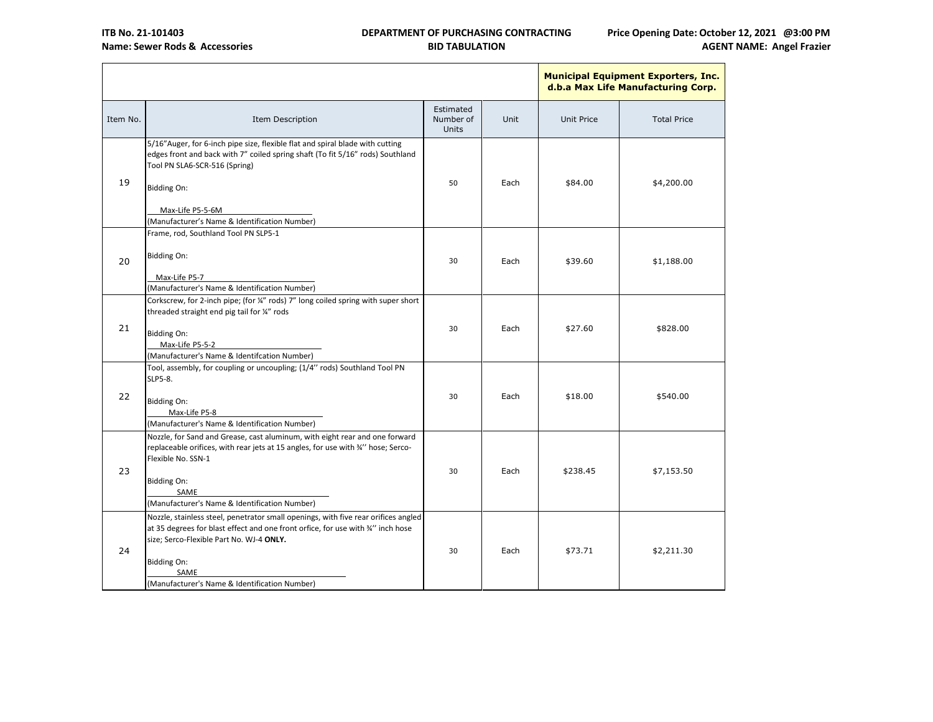

|          |                                                                                                                                                                                                                                                                                                  |                                 |      |                   | <b>Municipal Equipment Exporters,</b><br>d.b.a Max Life Manufacturing C |
|----------|--------------------------------------------------------------------------------------------------------------------------------------------------------------------------------------------------------------------------------------------------------------------------------------------------|---------------------------------|------|-------------------|-------------------------------------------------------------------------|
| Item No. | Item Description                                                                                                                                                                                                                                                                                 | Estimated<br>Number of<br>Units | Unit | <b>Unit Price</b> | <b>Total Price</b>                                                      |
| 19       | 5/16" Auger, for 6-inch pipe size, flexible flat and spiral blade with cutting<br>edges front and back with 7" coiled spring shaft (To fit 5/16" rods) Southland<br>Tool PN SLA6-SCR-516 (Spring)<br><b>Bidding On:</b><br>Max-Life P5-5-6M                                                      | 50                              | Each | \$84.00           | \$4,200.00                                                              |
|          | (Manufacturer's Name & Identification Number)<br>Frame, rod, Southland Tool PN SLP5-1                                                                                                                                                                                                            |                                 |      |                   |                                                                         |
| 20       | <b>Bidding On:</b><br>Max-Life P5-7                                                                                                                                                                                                                                                              | 30                              | Each | \$39.60           | \$1,188.00                                                              |
|          | (Manufacturer's Name & Identification Number)                                                                                                                                                                                                                                                    |                                 |      |                   |                                                                         |
| 21       | Corkscrew, for 2-inch pipe; (for ¼" rods) 7" long coiled spring with super short<br>threaded straight end pig tail for 1/4" rods<br>Bidding On:<br>Max-Life P5-5-2                                                                                                                               | 30                              | Each | \$27.60           | \$828.00                                                                |
|          | (Manufacturer's Name & Identifcation Number)                                                                                                                                                                                                                                                     |                                 |      |                   |                                                                         |
| 22       | Tool, assembly, for coupling or uncoupling; (1/4" rods) Southland Tool PN<br>SLP5-8.<br><b>Bidding On:</b><br>Max-Life P5-8<br>(Manufacturer's Name & Identification Number)                                                                                                                     | 30                              | Each | \$18.00           | \$540.00                                                                |
| 23       | Nozzle, for Sand and Grease, cast aluminum, with eight rear and one forward<br>replaceable orifices, with rear jets at 15 angles, for use with 3/" hose; Serco-<br>Flexible No. SSN-1<br><b>Bidding On:</b><br>SAME<br>(Manufacturer's Name & Identification Number)                             | 30                              | Each | \$238.45          | \$7,153.50                                                              |
| 24       | Nozzle, stainless steel, penetrator small openings, with five rear orifices angled<br>at 35 degrees for blast effect and one front orfice, for use with 34" inch hose<br>size; Serco-Flexible Part No. WJ-4 ONLY.<br><b>Bidding On:</b><br>SAME<br>(Manufacturer's Name & Identification Number) | 30                              | Each | \$73.71           | \$2,211.30                                                              |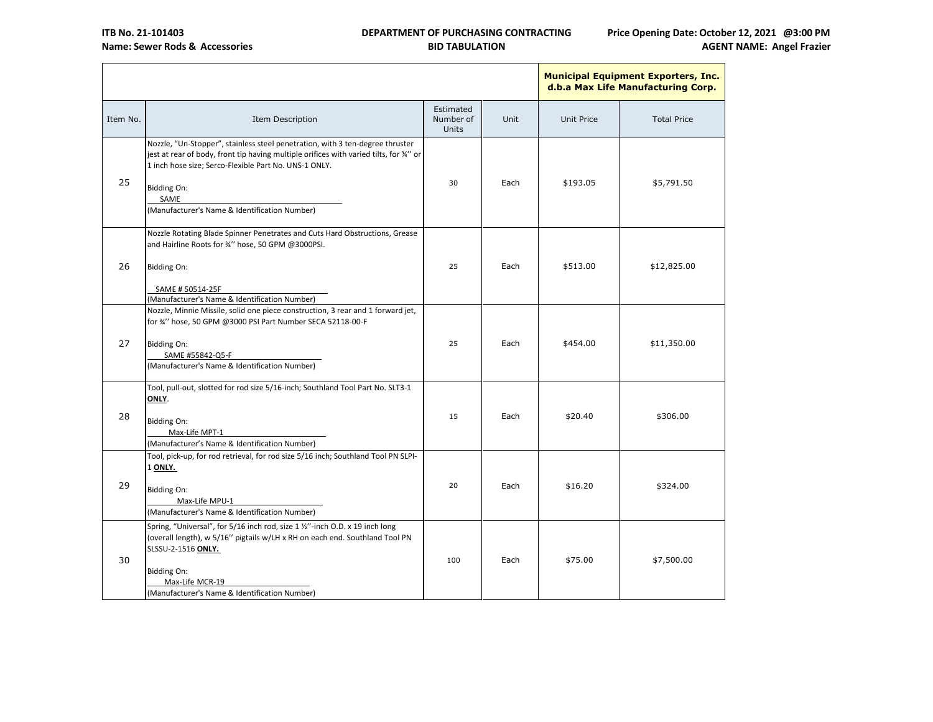

|          |                                                                                                                                                                                                                                                                                                                 |                                        |      |                   | <b>Municipal Equipment Exporters,</b><br>d.b.a Max Life Manufacturing Co |
|----------|-----------------------------------------------------------------------------------------------------------------------------------------------------------------------------------------------------------------------------------------------------------------------------------------------------------------|----------------------------------------|------|-------------------|--------------------------------------------------------------------------|
| Item No. | Item Description                                                                                                                                                                                                                                                                                                | Estimated<br>Number of<br><b>Units</b> | Unit | <b>Unit Price</b> | <b>Total Price</b>                                                       |
| 25       | Nozzle, "Un-Stopper", stainless steel penetration, with 3 ten-degree thruster<br>jest at rear of body, front tip having multiple orifices with varied tilts, for 34" or<br>1 inch hose size; Serco-Flexible Part No. UNS-1 ONLY.<br><b>Bidding On:</b><br>SAME<br>(Manufacturer's Name & Identification Number) | 30                                     | Each | \$193.05          | \$5,791.50                                                               |
| 26       | Nozzle Rotating Blade Spinner Penetrates and Cuts Hard Obstructions, Grease<br>and Hairline Roots for 3/" hose, 50 GPM @3000PSI.<br><b>Bidding On:</b><br>SAME # 50514-25F<br>(Manufacturer's Name & Identification Number)                                                                                     | 25                                     | Each | \$513.00          | \$12,825.00                                                              |
| 27       | Nozzle, Minnie Missile, solid one piece construction, 3 rear and 1 forward jet,<br>for %" hose, 50 GPM @3000 PSI Part Number SECA 52118-00-F<br><b>Bidding On:</b><br>SAME #55842-Q5-F<br>(Manufacturer's Name & Identification Number)                                                                         | 25                                     | Each | \$454.00          | \$11,350.00                                                              |
| 28       | Tool, pull-out, slotted for rod size 5/16-inch; Southland Tool Part No. SLT3-1<br>ONLY.<br><b>Bidding On:</b><br>Max-Life MPT-1<br>(Manufacturer's Name & Identification Number)                                                                                                                                | 15                                     | Each | \$20.40           | \$306.00                                                                 |
| 29       | Tool, pick-up, for rod retrieval, for rod size 5/16 inch; Southland Tool PN SLPI-<br>1 ONLY.<br><b>Bidding On:</b><br>Max-Life MPU-1<br>(Manufacturer's Name & Identification Number)                                                                                                                           | 20                                     | Each | \$16.20           | \$324.00                                                                 |
| 30       | Spring, "Universal", for 5/16 inch rod, size 1 %"-inch O.D. x 19 inch long<br>(overall length), w 5/16" pigtails w/LH x RH on each end. Southland Tool PN<br>SLSSU-2-1516 ONLY.<br><b>Bidding On:</b><br>Max-Life MCR-19<br>(Manufacturer's Name & Identification Number)                                       | 100                                    | Each | \$75.00           | \$7,500.00                                                               |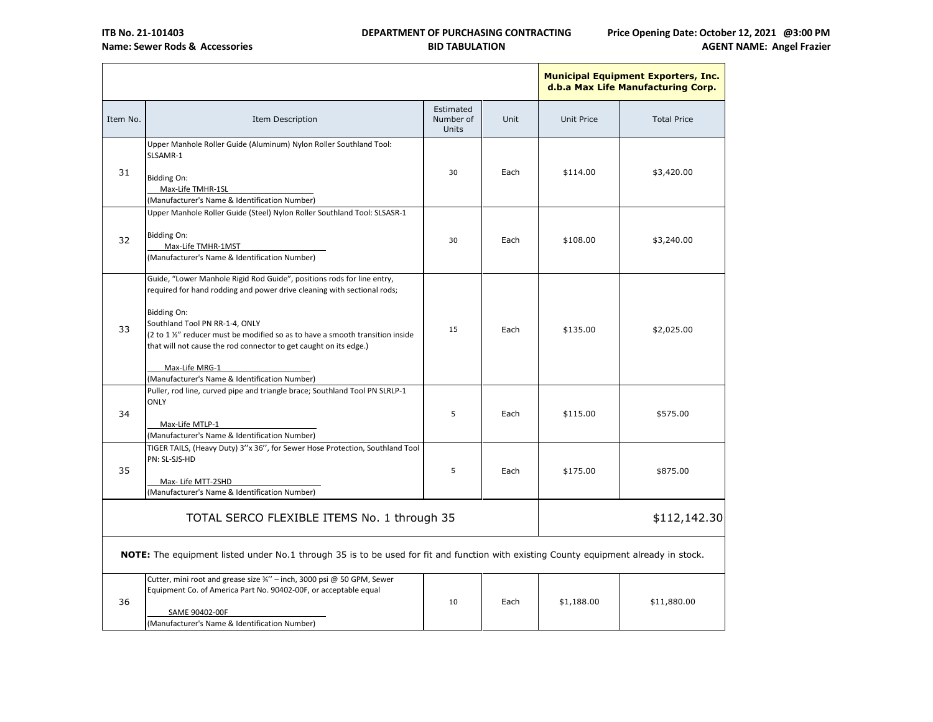

|          |                                                                                                                                                                                                                                                                                                                                                                                                                                   |                                 |      |                   | <b>Municipal Equipment Exporters, Inc.</b><br>d.b.a Max Life Manufacturing Corp. |  |
|----------|-----------------------------------------------------------------------------------------------------------------------------------------------------------------------------------------------------------------------------------------------------------------------------------------------------------------------------------------------------------------------------------------------------------------------------------|---------------------------------|------|-------------------|----------------------------------------------------------------------------------|--|
| Item No. | Item Description                                                                                                                                                                                                                                                                                                                                                                                                                  | Estimated<br>Number of<br>Units | Unit | <b>Unit Price</b> | <b>Total Price</b>                                                               |  |
| 31       | Upper Manhole Roller Guide (Aluminum) Nylon Roller Southland Tool:<br>SLSAMR-1<br><b>Bidding On:</b><br>Max-Life TMHR-1SL<br>(Manufacturer's Name & Identification Number)                                                                                                                                                                                                                                                        | 30                              | Each | \$114.00          | \$3,420.00                                                                       |  |
| 32       | Upper Manhole Roller Guide (Steel) Nylon Roller Southland Tool: SLSASR-1<br><b>Bidding On:</b><br>Max-Life TMHR-1MST<br>(Manufacturer's Name & Identification Number)                                                                                                                                                                                                                                                             | 30                              | Each | \$108.00          | \$3,240.00                                                                       |  |
| 33       | Guide, "Lower Manhole Rigid Rod Guide", positions rods for line entry,<br>required for hand rodding and power drive cleaning with sectional rods;<br><b>Bidding On:</b><br>Southland Tool PN RR-1-4, ONLY<br>(2 to 1 %" reducer must be modified so as to have a smooth transition inside<br>that will not cause the rod connector to get caught on its edge.)<br>Max-Life MRG-1<br>(Manufacturer's Name & Identification Number) | 15                              | Each | \$135.00          | \$2,025.00                                                                       |  |
| 34       | Puller, rod line, curved pipe and triangle brace; Southland Tool PN SLRLP-1<br><b>ONLY</b><br>Max-Life MTLP-1<br>(Manufacturer's Name & Identification Number)                                                                                                                                                                                                                                                                    | 5                               | Each | \$115.00          | \$575.00                                                                         |  |
| 35       | TIGER TAILS, (Heavy Duty) 3"x 36", for Sewer Hose Protection, Southland Tool<br>PN: SL-SJS-HD<br>Max- Life MTT-2SHD<br>(Manufacturer's Name & Identification Number)                                                                                                                                                                                                                                                              | 5                               | Each | \$175.00          | \$875.00                                                                         |  |
|          | TOTAL SERCO FLEXIBLE ITEMS No. 1 through 35<br>\$112,142.30                                                                                                                                                                                                                                                                                                                                                                       |                                 |      |                   |                                                                                  |  |
|          | NOTE: The equipment listed under No.1 through 35 is to be used for fit and function with existing County equipment already in stock.                                                                                                                                                                                                                                                                                              |                                 |      |                   |                                                                                  |  |
| 36       | Cutter, mini root and grease size 34" - inch, 3000 psi @ 50 GPM, Sewer<br>Equipment Co. of America Part No. 90402-00F, or acceptable equal<br>SAME 90402-00F<br>(Manufacturer's Name & Identification Number)                                                                                                                                                                                                                     | 10                              | Each | \$1,188.00        | \$11,880.00                                                                      |  |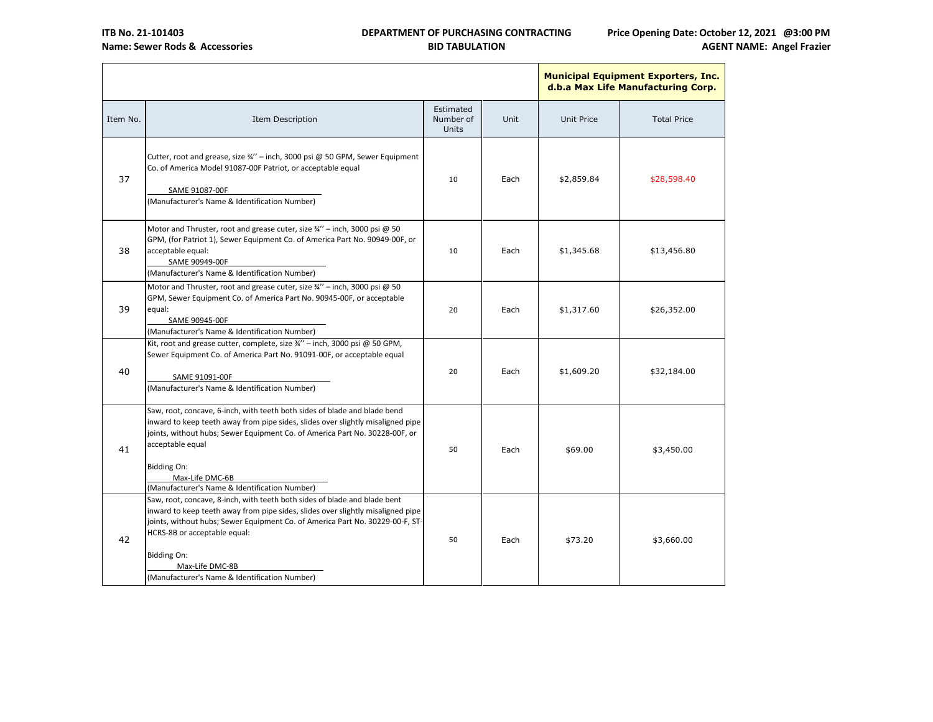

|          |                                                                                                                                                                                                                                                                                                                                                                         |                                        |      |                   | <b>Municipal Equipment Exporters,</b><br>d.b.a Max Life Manufacturing Co |
|----------|-------------------------------------------------------------------------------------------------------------------------------------------------------------------------------------------------------------------------------------------------------------------------------------------------------------------------------------------------------------------------|----------------------------------------|------|-------------------|--------------------------------------------------------------------------|
| Item No. | Item Description                                                                                                                                                                                                                                                                                                                                                        | Estimated<br>Number of<br><b>Units</b> | Unit | <b>Unit Price</b> | <b>Total Price</b>                                                       |
| 37       | Cutter, root and grease, size 3/4" - inch, 3000 psi @ 50 GPM, Sewer Equipment<br>Co. of America Model 91087-00F Patriot, or acceptable equal<br>SAME 91087-00F<br>(Manufacturer's Name & Identification Number)                                                                                                                                                         | 10                                     | Each | \$2,859.84        | \$28,598.40                                                              |
| 38       | Motor and Thruster, root and grease cuter, size 3/4" - inch, 3000 psi @ 50<br>GPM, (for Patriot 1), Sewer Equipment Co. of America Part No. 90949-00F, or<br>acceptable equal:<br>SAME 90949-00F<br>(Manufacturer's Name & Identification Number)                                                                                                                       | 10                                     | Each | \$1,345.68        | \$13,456.80                                                              |
| 39       | Motor and Thruster, root and grease cuter, size 3/4" - inch, 3000 psi @ 50<br>GPM, Sewer Equipment Co. of America Part No. 90945-00F, or acceptable<br>equal:<br>SAME 90945-00F<br>(Manufacturer's Name & Identification Number)                                                                                                                                        | 20                                     | Each | \$1,317.60        | \$26,352.00                                                              |
| 40       | Kit, root and grease cutter, complete, size $\frac{3}{4}$ " - inch, 3000 psi @ 50 GPM,<br>Sewer Equipment Co. of America Part No. 91091-00F, or acceptable equal<br>SAME 91091-00F<br>(Manufacturer's Name & Identification Number)                                                                                                                                     | 20                                     | Each | \$1,609.20        | \$32,184.00                                                              |
| 41       | Saw, root, concave, 6-inch, with teeth both sides of blade and blade bend<br>inward to keep teeth away from pipe sides, slides over slightly misaligned pipe<br>joints, without hubs; Sewer Equipment Co. of America Part No. 30228-00F, or<br>acceptable equal<br><b>Bidding On:</b><br>Max-Life DMC-6B<br>(Manufacturer's Name & Identification Number)               | 50                                     | Each | \$69.00           | \$3,450.00                                                               |
| 42       | Saw, root, concave, 8-inch, with teeth both sides of blade and blade bent<br>inward to keep teeth away from pipe sides, slides over slightly misaligned pipe<br>joints, without hubs; Sewer Equipment Co. of America Part No. 30229-00-F, ST-<br>HCRS-8B or acceptable equal:<br><b>Bidding On:</b><br>Max-Life DMC-8B<br>(Manufacturer's Name & Identification Number) | 50                                     | Each | \$73.20           | \$3,660.00                                                               |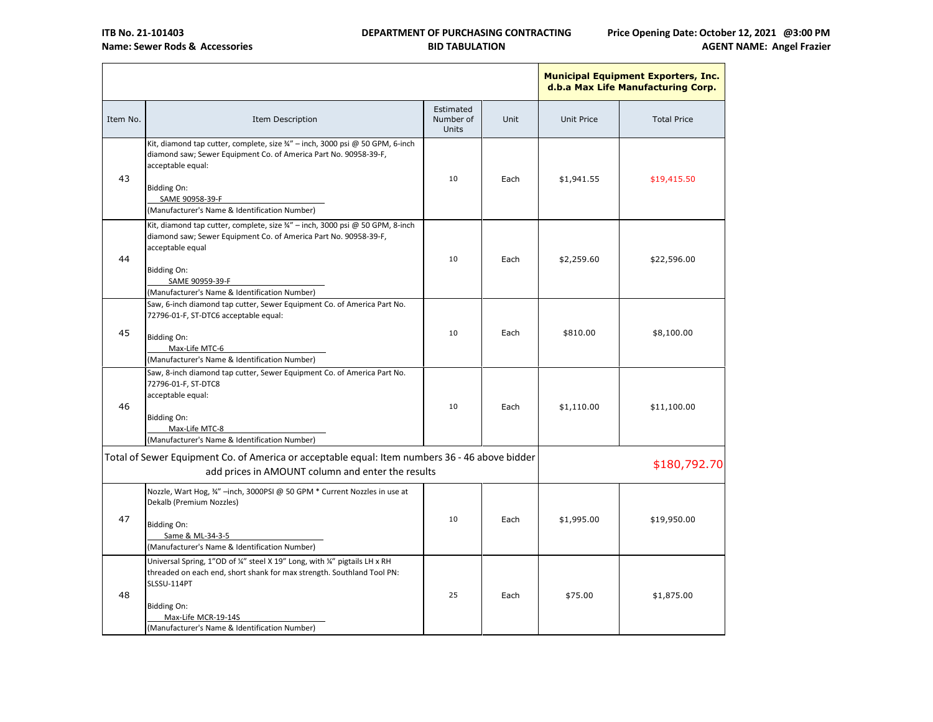

|          |                                                                                                                                                                                                                                                                   |                                 |      |                   | <b>Municipal Equipment Exporters, Inc.</b><br>d.b.a Max Life Manufacturing Corp. |
|----------|-------------------------------------------------------------------------------------------------------------------------------------------------------------------------------------------------------------------------------------------------------------------|---------------------------------|------|-------------------|----------------------------------------------------------------------------------|
| Item No. | Item Description                                                                                                                                                                                                                                                  | Estimated<br>Number of<br>Units | Unit | <b>Unit Price</b> | <b>Total Price</b>                                                               |
| 43       | Kit, diamond tap cutter, complete, size 3/4" - inch, 3000 psi @ 50 GPM, 6-inch<br>diamond saw; Sewer Equipment Co. of America Part No. 90958-39-F,<br>acceptable equal:<br><b>Bidding On:</b><br>SAME 90958-39-F<br>(Manufacturer's Name & Identification Number) | 10                              | Each | \$1,941.55        | \$19,415.50                                                                      |
| 44       | Kit, diamond tap cutter, complete, size 3/4" - inch, 3000 psi @ 50 GPM, 8-inch<br>diamond saw; Sewer Equipment Co. of America Part No. 90958-39-F,<br>acceptable equal<br><b>Bidding On:</b><br>SAME 90959-39-F<br>(Manufacturer's Name & Identification Number)  | 10                              | Each | \$2,259.60        | \$22,596.00                                                                      |
| 45       | Saw, 6-inch diamond tap cutter, Sewer Equipment Co. of America Part No.<br>72796-01-F, ST-DTC6 acceptable equal:<br><b>Bidding On:</b><br>Max-Life MTC-6<br>(Manufacturer's Name & Identification Number)                                                         | 10                              | Each | \$810.00          | \$8,100.00                                                                       |
| 46       | Saw, 8-inch diamond tap cutter, Sewer Equipment Co. of America Part No.<br>72796-01-F, ST-DTC8<br>acceptable equal:<br><b>Bidding On:</b><br>Max-Life MTC-8<br>(Manufacturer's Name & Identification Number)                                                      | 10                              | Each | \$1,110.00        | \$11,100.00                                                                      |
|          | Total of Sewer Equipment Co. of America or acceptable equal: Item numbers 36 - 46 above bidder<br>add prices in AMOUNT column and enter the results                                                                                                               |                                 |      |                   | \$180,792.70                                                                     |
| 47       | Nozzle, Wart Hog, 34" -inch, 3000PSI @ 50 GPM * Current Nozzles in use at<br>Dekalb (Premium Nozzles)<br><b>Bidding On:</b><br>Same & ML-34-3-5<br>(Manufacturer's Name & Identification Number)                                                                  | 10                              | Each | \$1,995.00        | \$19,950.00                                                                      |
| 48       | Universal Spring, 1"OD of ¼" steel X 19" Long, with ¼" pigtails LH x RH<br>threaded on each end, short shank for max strength. Southland Tool PN:<br>SLSSU-114PT<br><b>Bidding On:</b><br>Max-Life MCR-19-14S<br>(Manufacturer's Name & Identification Number)    | 25                              | Each | \$75.00           | \$1,875.00                                                                       |